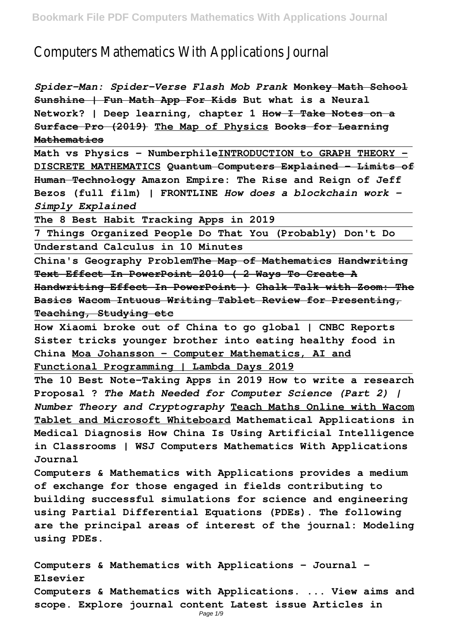## Computers Mathematics With Applications Journal

*Spider-Man: Spider-Verse Flash Mob Prank* **Monkey Math School Sunshine | Fun Math App For Kids But what is a Neural Network? | Deep learning, chapter 1 How I Take Notes on a Surface Pro (2019) The Map of Physics Books for Learning Mathematics**

**Math vs Physics - NumberphileINTRODUCTION to GRAPH THEORY - DISCRETE MATHEMATICS Quantum Computers Explained – Limits of Human Technology Amazon Empire: The Rise and Reign of Jeff Bezos (full film) | FRONTLINE** *How does a blockchain work - Simply Explained*

**The 8 Best Habit Tracking Apps in 2019**

**7 Things Organized People Do That You (Probably) Don't Do Understand Calculus in 10 Minutes**

**China's Geography ProblemThe Map of Mathematics Handwriting Text Effect In PowerPoint 2010 ( 2 Ways To Create A Handwriting Effect In PowerPoint ) Chalk Talk with Zoom: The Basics Wacom Intuous Writing Tablet Review for Presenting, Teaching, Studying etc**

**How Xiaomi broke out of China to go global | CNBC Reports Sister tricks younger brother into eating healthy food in China Moa Johansson - Computer Mathematics, AI and Functional Programming | Lambda Days 2019**

**The 10 Best Note-Taking Apps in 2019 How to write a research Proposal ?** *The Math Needed for Computer Science (Part 2) | Number Theory and Cryptography* **Teach Maths Online with Wacom Tablet and Microsoft Whiteboard Mathematical Applications in Medical Diagnosis How China Is Using Artificial Intelligence in Classrooms | WSJ Computers Mathematics With Applications Journal**

**Computers & Mathematics with Applications provides a medium of exchange for those engaged in fields contributing to building successful simulations for science and engineering using Partial Differential Equations (PDEs). The following are the principal areas of interest of the journal: Modeling using PDEs.**

**Computers & Mathematics with Applications - Journal - Elsevier Computers & Mathematics with Applications. ... View aims and scope. Explore journal content Latest issue Articles in** Page  $1/9$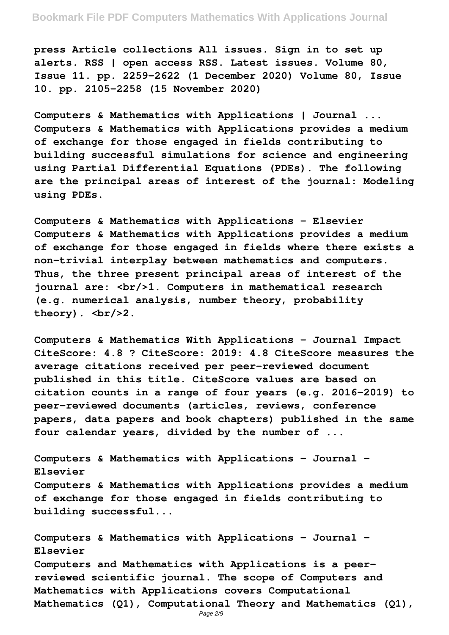**press Article collections All issues. Sign in to set up alerts. RSS | open access RSS. Latest issues. Volume 80, Issue 11. pp. 2259–2622 (1 December 2020) Volume 80, Issue 10. pp. 2105–2258 (15 November 2020)**

**Computers & Mathematics with Applications | Journal ... Computers & Mathematics with Applications provides a medium of exchange for those engaged in fields contributing to building successful simulations for science and engineering using Partial Differential Equations (PDEs). The following are the principal areas of interest of the journal: Modeling using PDEs.**

**Computers & Mathematics with Applications - Elsevier Computers & Mathematics with Applications provides a medium of exchange for those engaged in fields where there exists a non-trivial interplay between mathematics and computers. Thus, the three present principal areas of interest of the journal are: <br/>1. Computers in mathematical research (e.g. numerical analysis, number theory, probability** theory).  $\langle br/2.$ 

**Computers & Mathematics With Applications - Journal Impact CiteScore: 4.8 ? CiteScore: 2019: 4.8 CiteScore measures the average citations received per peer-reviewed document published in this title. CiteScore values are based on citation counts in a range of four years (e.g. 2016-2019) to peer-reviewed documents (articles, reviews, conference papers, data papers and book chapters) published in the same four calendar years, divided by the number of ...**

**Computers & Mathematics with Applications - Journal - Elsevier Computers & Mathematics with Applications provides a medium of exchange for those engaged in fields contributing to building successful...**

**Computers & Mathematics with Applications - Journal - Elsevier Computers and Mathematics with Applications is a peerreviewed scientific journal. The scope of Computers and Mathematics with Applications covers Computational Mathematics (Q1), Computational Theory and Mathematics (Q1),**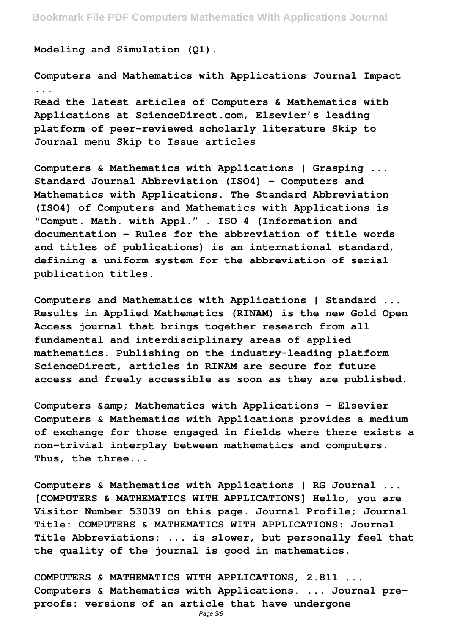**Modeling and Simulation (Q1).**

**Computers and Mathematics with Applications Journal Impact ... Read the latest articles of Computers & Mathematics with Applications at ScienceDirect.com, Elsevier's leading platform of peer-reviewed scholarly literature Skip to Journal menu Skip to Issue articles**

**Computers & Mathematics with Applications | Grasping ... Standard Journal Abbreviation (ISO4) - Computers and Mathematics with Applications. The Standard Abbreviation (ISO4) of Computers and Mathematics with Applications is "Comput. Math. with Appl." . ISO 4 (Information and documentation – Rules for the abbreviation of title words and titles of publications) is an international standard, defining a uniform system for the abbreviation of serial publication titles.**

**Computers and Mathematics with Applications | Standard ... Results in Applied Mathematics (RINAM) is the new Gold Open Access journal that brings together research from all fundamental and interdisciplinary areas of applied mathematics. Publishing on the industry-leading platform ScienceDirect, articles in RINAM are secure for future access and freely accessible as soon as they are published.**

Computers & amp; Mathematics with Applications - Elsevier **Computers & Mathematics with Applications provides a medium of exchange for those engaged in fields where there exists a non-trivial interplay between mathematics and computers. Thus, the three...**

**Computers & Mathematics with Applications | RG Journal ... [COMPUTERS & MATHEMATICS WITH APPLICATIONS] Hello, you are Visitor Number 53039 on this page. Journal Profile; Journal Title: COMPUTERS & MATHEMATICS WITH APPLICATIONS: Journal Title Abbreviations: ... is slower, but personally feel that the quality of the journal is good in mathematics.**

**COMPUTERS & MATHEMATICS WITH APPLICATIONS, 2.811 ... Computers & Mathematics with Applications. ... Journal preproofs: versions of an article that have undergone**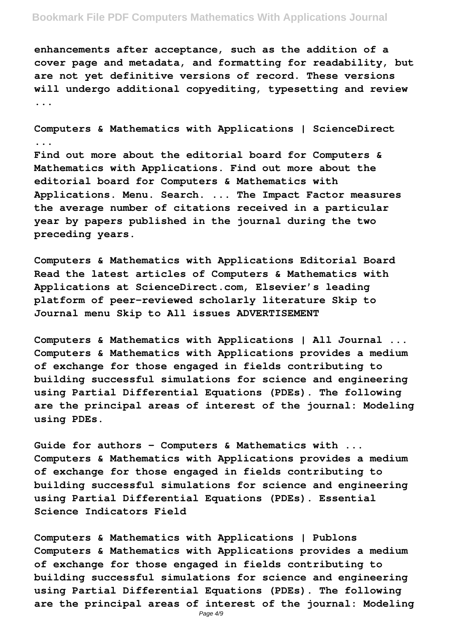## **Bookmark File PDF Computers Mathematics With Applications Journal**

**enhancements after acceptance, such as the addition of a cover page and metadata, and formatting for readability, but are not yet definitive versions of record. These versions will undergo additional copyediting, typesetting and review ...**

**Computers & Mathematics with Applications | ScienceDirect ...**

**Find out more about the editorial board for Computers & Mathematics with Applications. Find out more about the editorial board for Computers & Mathematics with Applications. Menu. Search. ... The Impact Factor measures the average number of citations received in a particular year by papers published in the journal during the two preceding years.**

**Computers & Mathematics with Applications Editorial Board Read the latest articles of Computers & Mathematics with Applications at ScienceDirect.com, Elsevier's leading platform of peer-reviewed scholarly literature Skip to Journal menu Skip to All issues ADVERTISEMENT**

**Computers & Mathematics with Applications | All Journal ... Computers & Mathematics with Applications provides a medium of exchange for those engaged in fields contributing to building successful simulations for science and engineering using Partial Differential Equations (PDEs). The following are the principal areas of interest of the journal: Modeling using PDEs.**

**Guide for authors - Computers & Mathematics with ... Computers & Mathematics with Applications provides a medium of exchange for those engaged in fields contributing to building successful simulations for science and engineering using Partial Differential Equations (PDEs). Essential Science Indicators Field**

**Computers & Mathematics with Applications | Publons Computers & Mathematics with Applications provides a medium of exchange for those engaged in fields contributing to building successful simulations for science and engineering using Partial Differential Equations (PDEs). The following are the principal areas of interest of the journal: Modeling**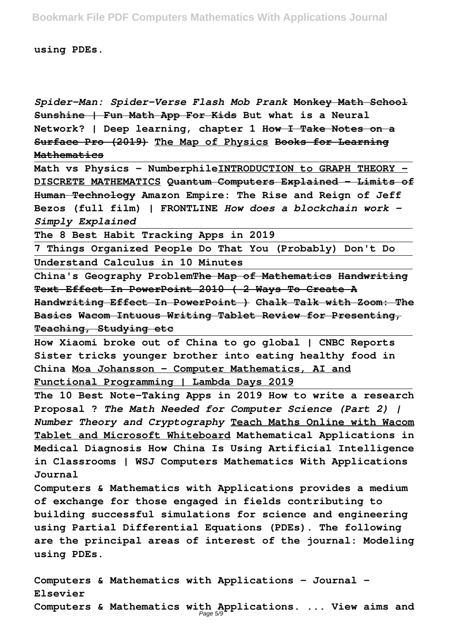**using PDEs.**

*Spider-Man: Spider-Verse Flash Mob Prank* **Monkey Math School Sunshine | Fun Math App For Kids But what is a Neural Network? | Deep learning, chapter 1 How I Take Notes on a Surface Pro (2019) The Map of Physics Books for Learning Mathematics**

**Math vs Physics - NumberphileINTRODUCTION to GRAPH THEORY - DISCRETE MATHEMATICS Quantum Computers Explained – Limits of Human Technology Amazon Empire: The Rise and Reign of Jeff Bezos (full film) | FRONTLINE** *How does a blockchain work - Simply Explained*

**The 8 Best Habit Tracking Apps in 2019**

**7 Things Organized People Do That You (Probably) Don't Do Understand Calculus in 10 Minutes**

**China's Geography ProblemThe Map of Mathematics Handwriting Text Effect In PowerPoint 2010 ( 2 Ways To Create A Handwriting Effect In PowerPoint ) Chalk Talk with Zoom: The Basics Wacom Intuous Writing Tablet Review for Presenting, Teaching, Studying etc**

**How Xiaomi broke out of China to go global | CNBC Reports Sister tricks younger brother into eating healthy food in China Moa Johansson - Computer Mathematics, AI and Functional Programming | Lambda Days 2019**

**The 10 Best Note-Taking Apps in 2019 How to write a research Proposal ?** *The Math Needed for Computer Science (Part 2) | Number Theory and Cryptography* **Teach Maths Online with Wacom Tablet and Microsoft Whiteboard Mathematical Applications in Medical Diagnosis How China Is Using Artificial Intelligence in Classrooms | WSJ Computers Mathematics With Applications Journal**

**Computers & Mathematics with Applications provides a medium of exchange for those engaged in fields contributing to building successful simulations for science and engineering using Partial Differential Equations (PDEs). The following are the principal areas of interest of the journal: Modeling using PDEs.**

**Computers & Mathematics with Applications - Journal - Elsevier Computers & Mathematics with Applications. ... View aims and** Page 5/9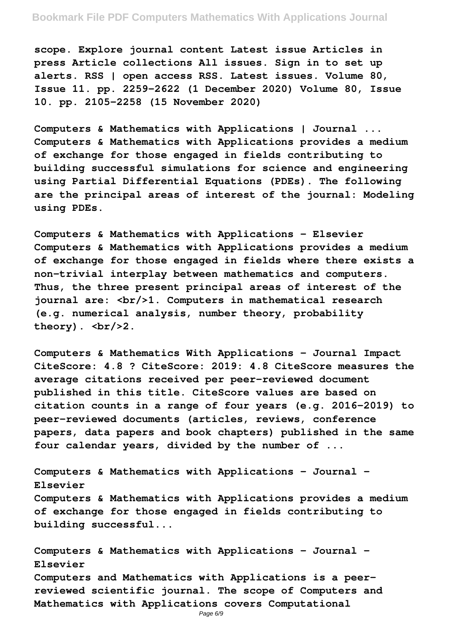## **Bookmark File PDF Computers Mathematics With Applications Journal**

**scope. Explore journal content Latest issue Articles in press Article collections All issues. Sign in to set up alerts. RSS | open access RSS. Latest issues. Volume 80, Issue 11. pp. 2259–2622 (1 December 2020) Volume 80, Issue 10. pp. 2105–2258 (15 November 2020)**

**Computers & Mathematics with Applications | Journal ... Computers & Mathematics with Applications provides a medium of exchange for those engaged in fields contributing to building successful simulations for science and engineering using Partial Differential Equations (PDEs). The following are the principal areas of interest of the journal: Modeling using PDEs.**

**Computers & Mathematics with Applications - Elsevier Computers & Mathematics with Applications provides a medium of exchange for those engaged in fields where there exists a non-trivial interplay between mathematics and computers. Thus, the three present principal areas of interest of the journal are: <br/>1. Computers in mathematical research (e.g. numerical analysis, number theory, probability** theory).  $\langle br/2.$ 

**Computers & Mathematics With Applications - Journal Impact CiteScore: 4.8 ? CiteScore: 2019: 4.8 CiteScore measures the average citations received per peer-reviewed document published in this title. CiteScore values are based on citation counts in a range of four years (e.g. 2016-2019) to peer-reviewed documents (articles, reviews, conference papers, data papers and book chapters) published in the same four calendar years, divided by the number of ...**

**Computers & Mathematics with Applications - Journal - Elsevier Computers & Mathematics with Applications provides a medium of exchange for those engaged in fields contributing to building successful...**

**Computers & Mathematics with Applications - Journal - Elsevier Computers and Mathematics with Applications is a peerreviewed scientific journal. The scope of Computers and Mathematics with Applications covers Computational**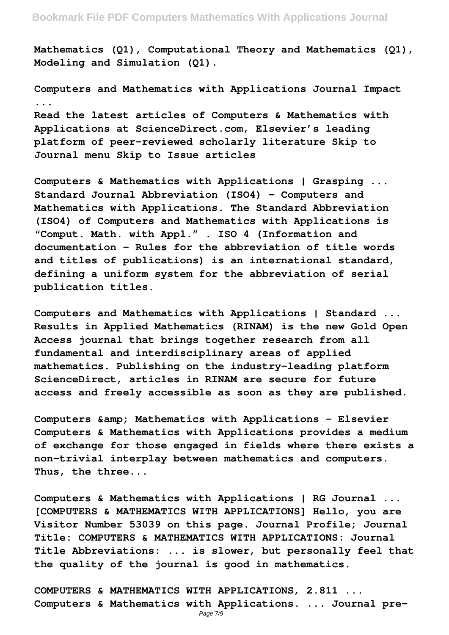**Mathematics (Q1), Computational Theory and Mathematics (Q1), Modeling and Simulation (Q1).**

**Computers and Mathematics with Applications Journal Impact ... Read the latest articles of Computers & Mathematics with Applications at ScienceDirect.com, Elsevier's leading platform of peer-reviewed scholarly literature Skip to Journal menu Skip to Issue articles**

**Computers & Mathematics with Applications | Grasping ... Standard Journal Abbreviation (ISO4) - Computers and Mathematics with Applications. The Standard Abbreviation (ISO4) of Computers and Mathematics with Applications is "Comput. Math. with Appl." . ISO 4 (Information and documentation – Rules for the abbreviation of title words and titles of publications) is an international standard, defining a uniform system for the abbreviation of serial publication titles.**

**Computers and Mathematics with Applications | Standard ... Results in Applied Mathematics (RINAM) is the new Gold Open Access journal that brings together research from all fundamental and interdisciplinary areas of applied mathematics. Publishing on the industry-leading platform ScienceDirect, articles in RINAM are secure for future access and freely accessible as soon as they are published.**

Computers & amp; Mathematics with Applications - Elsevier **Computers & Mathematics with Applications provides a medium of exchange for those engaged in fields where there exists a non-trivial interplay between mathematics and computers. Thus, the three...**

**Computers & Mathematics with Applications | RG Journal ... [COMPUTERS & MATHEMATICS WITH APPLICATIONS] Hello, you are Visitor Number 53039 on this page. Journal Profile; Journal Title: COMPUTERS & MATHEMATICS WITH APPLICATIONS: Journal Title Abbreviations: ... is slower, but personally feel that the quality of the journal is good in mathematics.**

**COMPUTERS & MATHEMATICS WITH APPLICATIONS, 2.811 ... Computers & Mathematics with Applications. ... Journal pre-**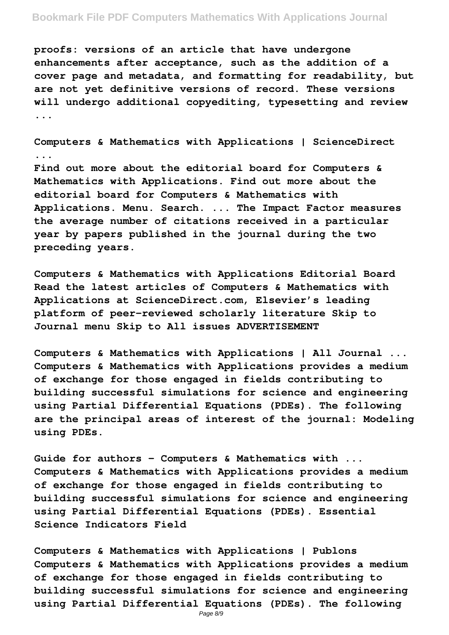## **Bookmark File PDF Computers Mathematics With Applications Journal**

**proofs: versions of an article that have undergone enhancements after acceptance, such as the addition of a cover page and metadata, and formatting for readability, but are not yet definitive versions of record. These versions will undergo additional copyediting, typesetting and review ...**

**Computers & Mathematics with Applications | ScienceDirect Find out more about the editorial board for Computers & Mathematics with Applications. Find out more about the editorial board for Computers & Mathematics with Applications. Menu. Search. ... The Impact Factor measures the average number of citations received in a particular year by papers published in the journal during the two preceding years.**

**Computers & Mathematics with Applications Editorial Board Read the latest articles of Computers & Mathematics with Applications at ScienceDirect.com, Elsevier's leading platform of peer-reviewed scholarly literature Skip to Journal menu Skip to All issues ADVERTISEMENT**

**Computers & Mathematics with Applications | All Journal ... Computers & Mathematics with Applications provides a medium of exchange for those engaged in fields contributing to building successful simulations for science and engineering using Partial Differential Equations (PDEs). The following are the principal areas of interest of the journal: Modeling using PDEs.**

**Guide for authors - Computers & Mathematics with ... Computers & Mathematics with Applications provides a medium of exchange for those engaged in fields contributing to building successful simulations for science and engineering using Partial Differential Equations (PDEs). Essential Science Indicators Field**

**Computers & Mathematics with Applications | Publons Computers & Mathematics with Applications provides a medium of exchange for those engaged in fields contributing to building successful simulations for science and engineering using Partial Differential Equations (PDEs). The following**